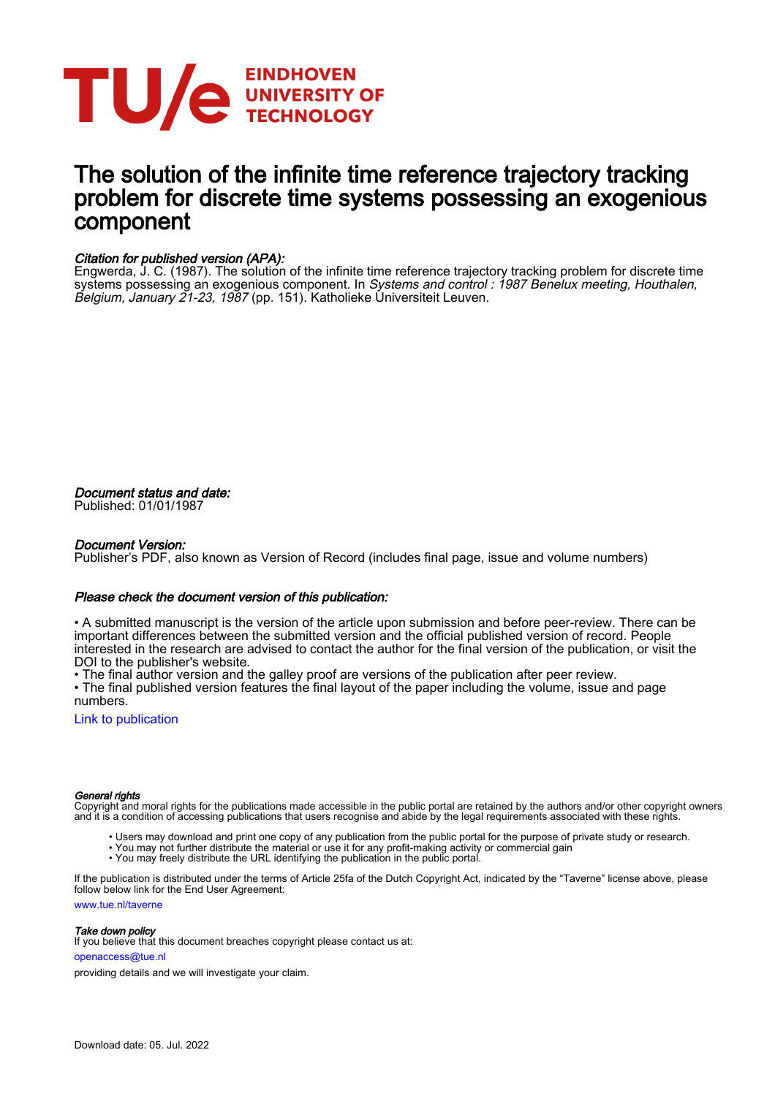

# The solution of the infinite time reference trajectory tracking problem for discrete time systems possessing an exogenious component

## Citation for published version (APA):

Engwerda, J. C. (1987). The solution of the infinite time reference trajectory tracking problem for discrete time systems possessing an exogenious component. In *Systems and control : 1987 Benelux meeting, Houthalen, Belgium, January 21-23, 1987* (pp. 151). Katholieke Universiteit Leuven.

Document status and date:

Published: 01/01/1987

### Document Version:

Publisher's PDF, also known as Version of Record (includes final page, issue and volume numbers)

## Please check the document version of this publication:

• A submitted manuscript is the version of the article upon submission and before peer-review. There can be important differences between the submitted version and the official published version of record. People interested in the research are advised to contact the author for the final version of the publication, or visit the DOI to the publisher's website.

• The final author version and the galley proof are versions of the publication after peer review.

• The final published version features the final layout of the paper including the volume, issue and page numbers.

[Link to publication](https://research.tue.nl/en/publications/80357281-9f85-47b6-a5fc-6a2aac7e7e38)

#### General rights

Copyright and moral rights for the publications made accessible in the public portal are retained by the authors and/or other copyright owners and it is a condition of accessing publications that users recognise and abide by the legal requirements associated with these rights.

- Users may download and print one copy of any publication from the public portal for the purpose of private study or research.
- You may not further distribute the material or use it for any profit-making activity or commercial gain
	- You may freely distribute the URL identifying the publication in the public portal.

If the publication is distributed under the terms of Article 25fa of the Dutch Copyright Act, indicated by the "Taverne" license above, please follow below link for the End User Agreement:

www.tue.nl/taverne

#### Take down policy

If you believe that this document breaches copyright please contact us at:

openaccess@tue.nl

providing details and we will investigate your claim.